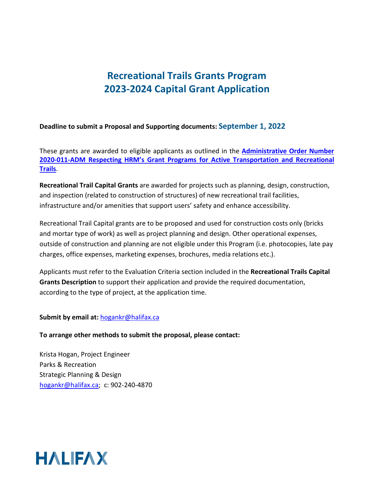#### **Deadline to submit a Proposal and Supporting documents: September 1, 2022**

These grants are awarded to eligible applicants as outlined in the **[Administrative Order Number](https://www.halifax.ca/sites/default/files/documents/city-hall/legislation-by-laws/2020-011-ADM.pdf)  2020-011-ADM Respecting [HRM's Grant Programs for Active Transportation and Recreational](https://www.halifax.ca/sites/default/files/documents/city-hall/legislation-by-laws/2020-011-ADM.pdf)  [Trails](https://www.halifax.ca/sites/default/files/documents/city-hall/legislation-by-laws/2020-011-ADM.pdf)**.

**Recreational Trail Capital Grants** are awarded for projects such as planning, design, construction, and inspection (related to construction of structures) of new recreational trail facilities, infrastructure and/or amenities that support users' safety and enhance accessibility.

Recreational Trail Capital grants are to be proposed and used for construction costs only (bricks and mortar type of work) as well as project planning and design. Other operational expenses, outside of construction and planning are not eligible under this Program (i.e. photocopies, late pay charges, office expenses, marketing expenses, brochures, media relations etc.).

Applicants must refer to the Evaluation Criteria section included in the **Recreational Trails Capital Grants Description** to support their application and provide the required documentation, according to the type of project, at the application time.

#### **Submit by email at:** [hogankr@halifax.ca](mailto:hogankr@halifax.ca)

#### **To arrange other methods to submit the proposal, please contact:**

Krista Hogan, Project Engineer Parks & Recreation Strategic Planning & Design [hogankr@halifax.ca;](mailto:hogankr@halifax.ca) c: 902-240-4870

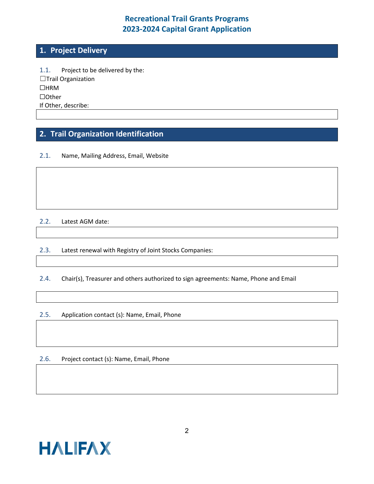### **1. Project Delivery**

1.1. Project to be delivered by the: ☐Trail Organization ☐HRM ☐Other If Other, describe:

# **2. Trail Organization Identification**

#### 2.1. Name, Mailing Address, Email, Website

#### 2.2. Latest AGM date:

2.3. Latest renewal with Registry of Joint Stocks Companies:

2.4. Chair(s), Treasurer and others authorized to sign agreements: Name, Phone and Email

#### 2.5. Application contact (s): Name, Email, Phone

2.6. Project contact (s): Name, Email, Phone

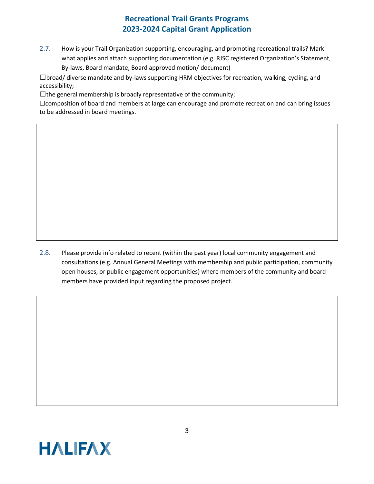2.7. How is your Trail Organization supporting, encouraging, and promoting recreational trails? Mark what applies and attach supporting documentation (e.g. RJSC registered Organization's Statement, By-laws, Board mandate, Board approved motion/ document)

☐broad/ diverse mandate and by-laws supporting HRM objectives for recreation, walking, cycling, and accessibility;

 $\Box$ the general membership is broadly representative of the community;

□ composition of board and members at large can encourage and promote recreation and can bring issues to be addressed in board meetings.

2.8. Please provide info related to recent (within the past year) local community engagement and consultations (e.g. Annual General Meetings with membership and public participation, community open houses, or public engagement opportunities) where members of the community and board members have provided input regarding the proposed project.

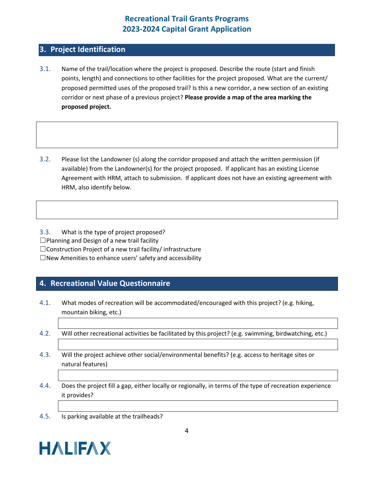#### **3. Project Identification**

- 3.1. Name of the trail/location where the project is proposed. Describe the route (start and finish points, length) and connections to other facilities for the project proposed. What are the current/ proposed permitted uses of the proposed trail? Is this a new corridor, a new section of an existing corridor or next phase of a previous project? **Please provide a map of the area marking the proposed project.**
- 3.2. Please list the Landowner (s) along the corridor proposed and attach the written permission (if available) from the Landowner(s) for the project proposed. If applicant has an existing License Agreement with HRM, attach to submission. If applicant does not have an existing agreement with HRM, also identify below.

3.3. What is the type of project proposed? ☐Planning and Design of a new trail facility

□Construction Project of a new trail facility/ infrastructure

 $\square$  New Amenities to enhance users' safety and accessibility

#### **4. Recreational Value Questionnaire**

- 4.1. What modes of recreation will be accommodated/encouraged with this project? (e.g. hiking, mountain biking, etc.)
- 4.2. Will other recreational activities be facilitated by this project? (e.g. swimming, birdwatching, etc.)
- 4.3. Will the project achieve other social/environmental benefits? (e.g. access to heritage sites or natural features)
- 4.4. Does the project fill a gap, either locally or regionally, in terms of the type of recreation experience it provides?
- 4.5. Is parking available at the trailheads?

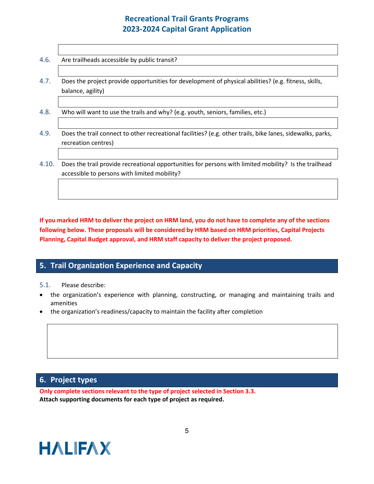| 4.6. | Are trailheads accessible by public transit?                                                                              |
|------|---------------------------------------------------------------------------------------------------------------------------|
| 4.7. | Does the project provide opportunities for development of physical abilities? (e.g. fitness, skills,<br>balance, agility) |
| 4.8. | Who will want to use the trails and why? (e.g. youth, seniors, families, etc.)                                            |

- 4.9. Does the trail connect to other recreational facilities? (e.g. other trails, bike lanes, sidewalks, parks, recreation centres)
- 4.10. Does the trail provide recreational opportunities for persons with limited mobility? Is the trailhead accessible to persons with limited mobility?

**If you marked HRM to deliver the project on HRM land, you do not have to complete any of the sections following below. These proposals will be considered by HRM based on HRM priorities, Capital Projects Planning, Capital Budget approval, and HRM staff capacity to deliver the project proposed.**

## **5. Trail Organization Experience and Capacity**

#### 5.1. Please describe:

- the organization's experience with planning, constructing, or managing and maintaining trails and amenities
- the organization's readiness/capacity to maintain the facility after completion

#### **6. Project types**

**Only complete sections relevant to the type of project selected in Section 3.3. Attach supporting documents for each type of project as required.** 

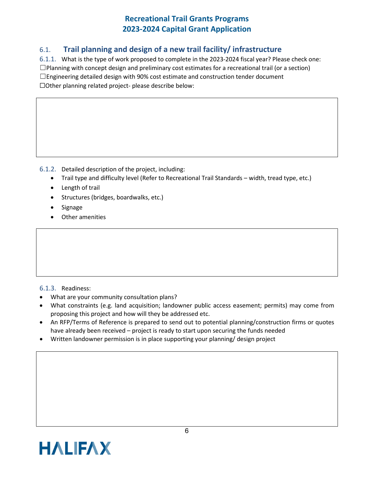### 6.1. **Trail planning and design of a new trail facility/ infrastructure**

6.1.1. What is the type of work proposed to complete in the 2023-2024 fiscal year? Please check one:  $\square$ Planning with concept design and preliminary cost estimates for a recreational trail (or a section)  $\Box$ Engineering detailed design with 90% cost estimate and construction tender document ☐Other planning related project- please describe below:

6.1.2. Detailed description of the project, including:

- Trail type and difficulty level (Refer to Recreational Trail Standards width, tread type, etc.)
- Length of trail
- Structures (bridges, boardwalks, etc.)
- **Signage**
- Other amenities

#### 6.1.3. Readiness:

- What are your community consultation plans?
- What constraints (e.g. land acquisition; landowner public access easement; permits) may come from proposing this project and how will they be addressed etc.
- An RFP/Terms of Reference is prepared to send out to potential planning/construction firms or quotes have already been received – project is ready to start upon securing the funds needed
- Written landowner permission is in place supporting your planning/ design project

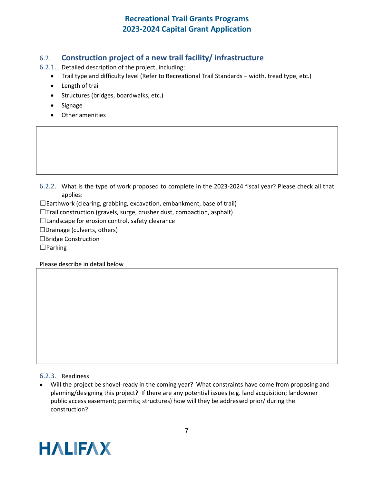### 6.2. **Construction project of a new trail facility/ infrastructure**

- 6.2.1. Detailed description of the project, including:
	- Trail type and difficulty level (Refer to Recreational Trail Standards width, tread type, etc.)
	- Length of trail
	- Structures (bridges, boardwalks, etc.)
	- Signage
	- Other amenities

6.2.2. What is the type of work proposed to complete in the 2023-2024 fiscal year? Please check all that applies:

 $\Box$ Earthwork (clearing, grabbing, excavation, embankment, base of trail)

 $\Box$ Trail construction (gravels, surge, crusher dust, compaction, asphalt)

 $\Box$ Landscape for erosion control, safety clearance

☐Drainage (culverts, others)

☐Bridge Construction

☐Parking

Please describe in detail below

6.2.3. Readiness

• Will the project be shovel-ready in the coming year? What constraints have come from proposing and planning/designing this project? If there are any potential issues (e.g. land acquisition; landowner public access easement; permits; structures) how will they be addressed prior/ during the construction?

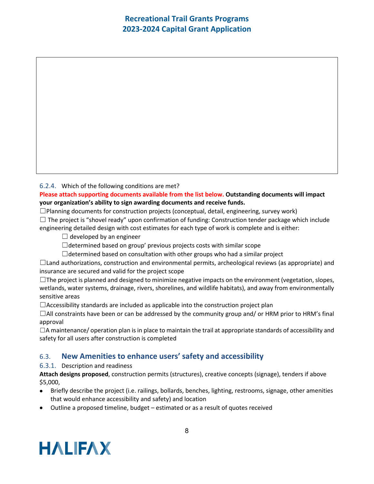6.2.4. Which of the following conditions are met?

#### **Please attach supporting documents available from the list below. Outstanding documents will impact your organization's ability to sign awarding documents and receive funds.**

 $\square$ Planning documents for construction projects (conceptual, detail, engineering, survey work)  $\Box$  The project is "shovel ready" upon confirmation of funding: Construction tender package which include engineering detailed design with cost estimates for each type of work is complete and is either:

 $\Box$  developed by an engineer

 $\Box$ determined based on group' previous projects costs with similar scope

 $\Box$ determined based on consultation with other groups who had a similar project

 $\Box$ Land authorizations, construction and environmental permits, archeological reviews (as appropriate) and insurance are secured and valid for the project scope

 $\Box$ The project is planned and designed to minimize negative impacts on the environment (vegetation, slopes, wetlands, water systems, drainage, rivers, shorelines, and wildlife habitats), and away from environmentally sensitive areas

 $\Box$ Accessibility standards are included as applicable into the construction project plan

 $\Box$ All constraints have been or can be addressed by the community group and/ or HRM prior to HRM's final approval

 $\Box$ A maintenance/ operation plan is in place to maintain the trail at appropriate standards of accessibility and safety for all users after construction is completed

#### 6.3. **New Amenities to enhance users' safety and accessibility**

6.3.1. Description and readiness

**Attach designs proposed**, construction permits (structures), creative concepts (signage), tenders if above \$5,000,

- Briefly describe the project (i.e. railings, bollards, benches, lighting, restrooms, signage, other amenities that would enhance accessibility and safety) and location
- Outline a proposed timeline, budget estimated or as a result of quotes received

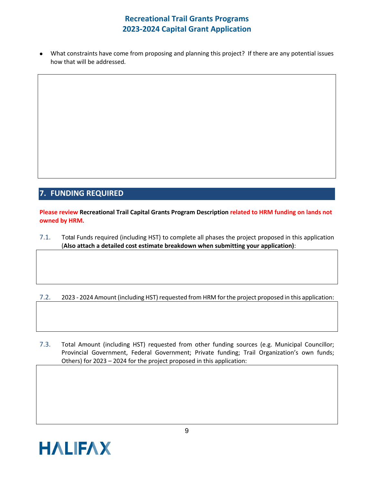• What constraints have come from proposing and planning this project? If there are any potential issues how that will be addressed.

# **7. FUNDING REQUIRED**

**Please review Recreational Trail Capital Grants Program Description related to HRM funding on lands not owned by HRM.**

7.1. Total Funds required (including HST) to complete all phases the project proposed in this application (**Also attach a detailed cost estimate breakdown when submitting your application)**:

7.2. 2023 - 2024 Amount (including HST) requested from HRM for the project proposed in this application:

7.3. Total Amount (including HST) requested from other funding sources (e.g. Municipal Councillor; Provincial Government, Federal Government; Private funding; Trail Organization's own funds; Others) for 2023 – 2024 for the project proposed in this application: